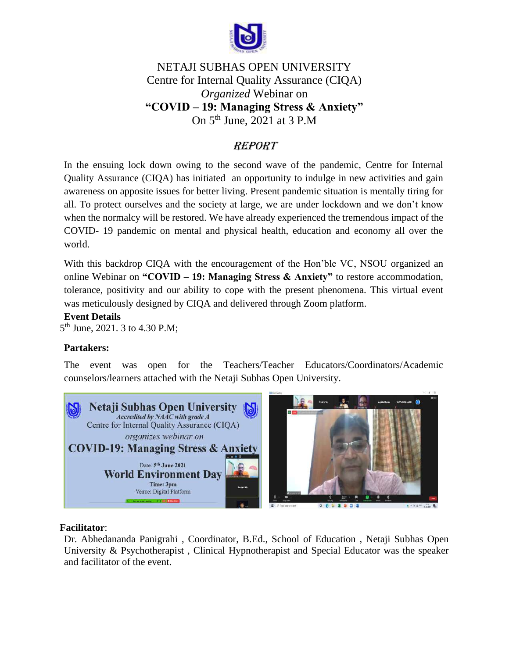

# NETAJI SUBHAS OPEN UNIVERSITY Centre for Internal Quality Assurance (CIQA) *Organized* Webinar on **"COVID – 19: Managing Stress & Anxiety"** On 5<sup>th</sup> June, 2021 at 3 P.M

## **REPORT**

In the ensuing lock down owing to the second wave of the pandemic, Centre for Internal Quality Assurance (CIQA) has initiated an opportunity to indulge in new activities and gain awareness on apposite issues for better living. Present pandemic situation is mentally tiring for all. To protect ourselves and the society at large, we are under lockdown and we don't know when the normalcy will be restored. We have already experienced the tremendous impact of the COVID- 19 pandemic on mental and physical health, education and economy all over the world.

With this backdrop CIQA with the encouragement of the Hon'ble VC, NSOU organized an online Webinar on **"COVID – 19: Managing Stress & Anxiety"** to restore accommodation, tolerance, positivity and our ability to cope with the present phenomena. This virtual event was meticulously designed by CIQA and delivered through Zoom platform.

#### **Event Details**

5<sup>th</sup> June, 2021. 3 to 4.30 P.M;

#### **Partakers:**

The event was open for the Teachers/Teacher Educators/Coordinators/Academic counselors/learners attached with the Netaji Subhas Open University.



#### **Facilitator**:

Dr. Abhedananda Panigrahi , Coordinator, B.Ed., School of Education , Netaji Subhas Open University & Psychotherapist , Clinical Hypnotherapist and Special Educator was the speaker and facilitator of the event.